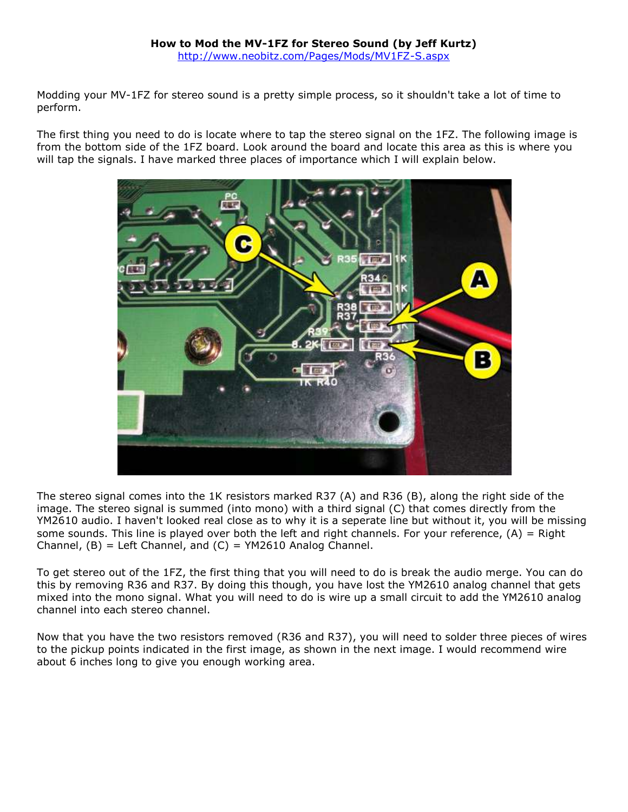## **How to Mod the MV-1FZ for Stereo Sound (by Jeff Kurtz)** <http://www.neobitz.com/Pages/Mods/MV1FZ-S.aspx>

Modding your MV-1FZ for stereo sound is a pretty simple process, so it shouldn't take a lot of time to perform.

The first thing you need to do is locate where to tap the stereo signal on the 1FZ. The following image is from the bottom side of the 1FZ board. Look around the board and locate this area as this is where you will tap the signals. I have marked three places of importance which I will explain below.



The stereo signal comes into the 1K resistors marked R37 (A) and R36 (B), along the right side of the image. The stereo signal is summed (into mono) with a third signal (C) that comes directly from the YM2610 audio. I haven't looked real close as to why it is a seperate line but without it, you will be missing some sounds. This line is played over both the left and right channels. For your reference,  $(A)$  = Right Channel,  $(B)$  = Left Channel, and  $(C)$  = YM2610 Analog Channel.

To get stereo out of the 1FZ, the first thing that you will need to do is break the audio merge. You can do this by removing R36 and R37. By doing this though, you have lost the YM2610 analog channel that gets mixed into the mono signal. What you will need to do is wire up a small circuit to add the YM2610 analog channel into each stereo channel.

Now that you have the two resistors removed (R36 and R37), you will need to solder three pieces of wires to the pickup points indicated in the first image, as shown in the next image. I would recommend wire about 6 inches long to give you enough working area.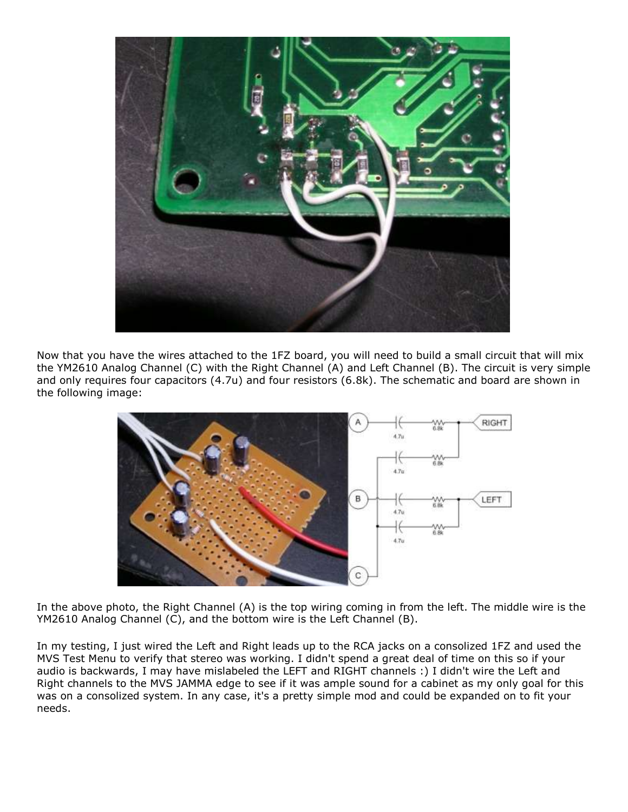

Now that you have the wires attached to the 1FZ board, you will need to build a small circuit that will mix the YM2610 Analog Channel (C) with the Right Channel (A) and Left Channel (B). The circuit is very simple and only requires four capacitors (4.7u) and four resistors (6.8k). The schematic and board are shown in the following image:



In the above photo, the Right Channel (A) is the top wiring coming in from the left. The middle wire is the YM2610 Analog Channel (C), and the bottom wire is the Left Channel (B).

In my testing, I just wired the Left and Right leads up to the RCA jacks on a consolized 1FZ and used the MVS Test Menu to verify that stereo was working. I didn't spend a great deal of time on this so if your audio is backwards, I may have mislabeled the LEFT and RIGHT channels :) I didn't wire the Left and Right channels to the MVS JAMMA edge to see if it was ample sound for a cabinet as my only goal for this was on a consolized system. In any case, it's a pretty simple mod and could be expanded on to fit your needs.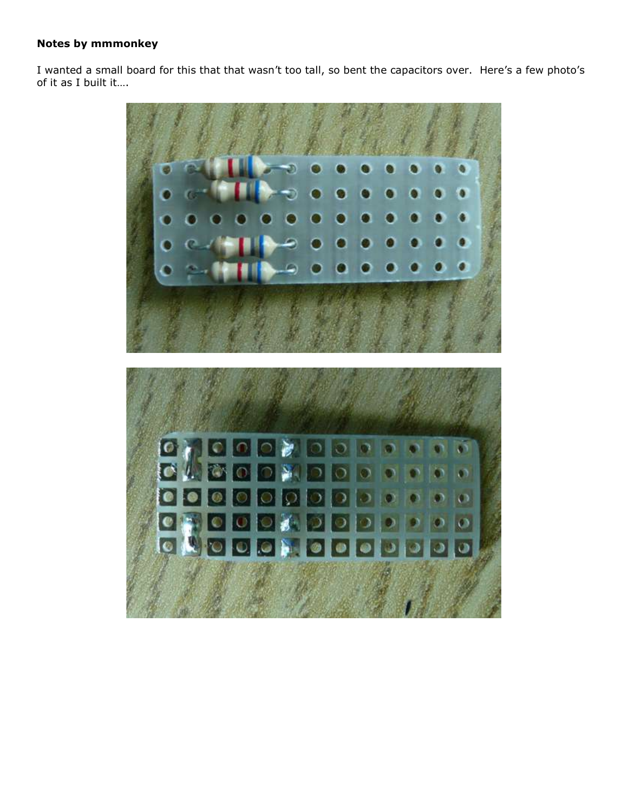## **Notes by mmmonkey**

I wanted a small board for this that that wasn't too tall, so bent the capacitors over. Here's a few photo's of it as I built it….

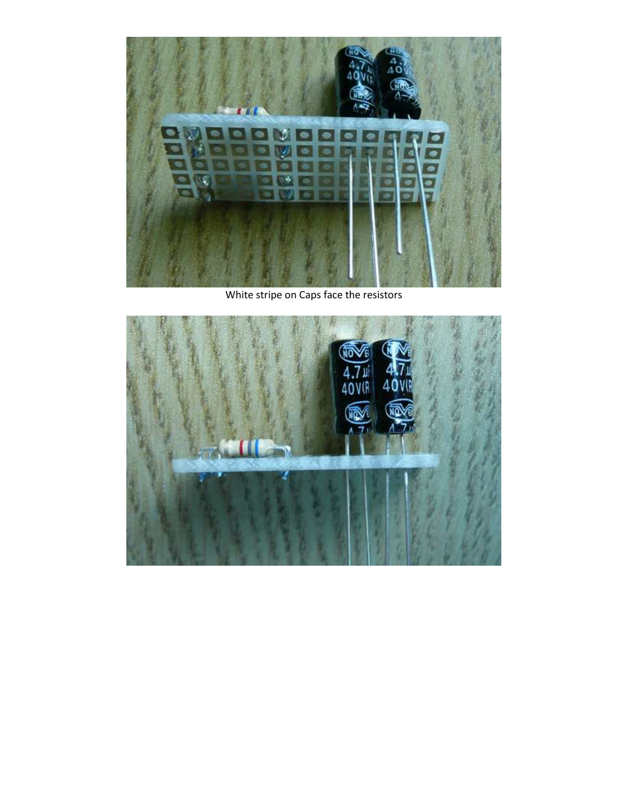

White stripe on Caps face the resistors

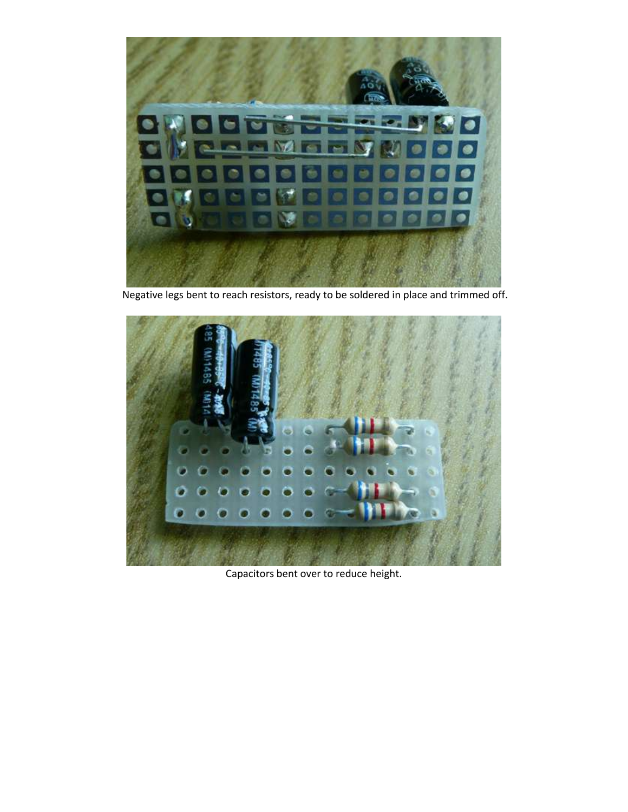

Negative legs bent to reach resistors, ready to be soldered in place and trimmed off.



Capacitors bent over to reduce height.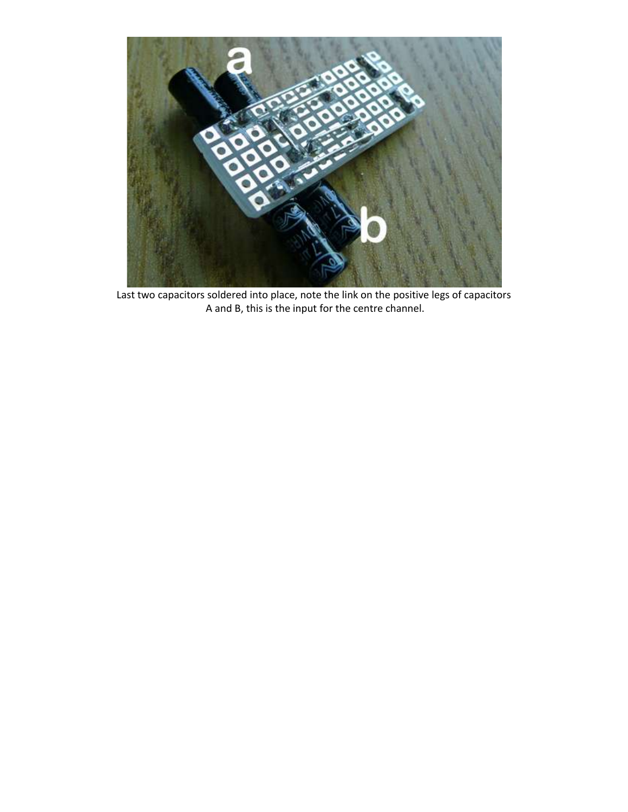

Last two capacitors soldered into place, note the link on the positive legs of capacitors A and B, this is the input for the centre channel.